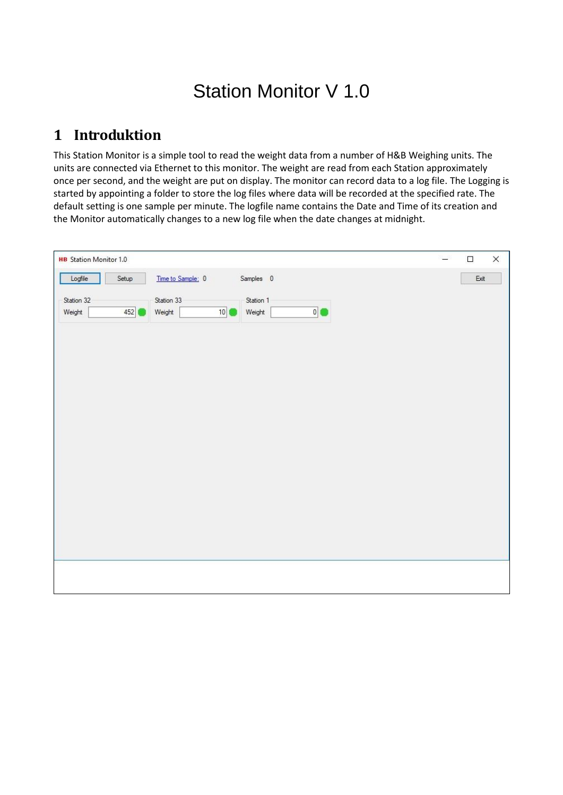# Station Monitor V 1.0

### **1 Introduktion**

This Station Monitor is a simple tool to read the weight data from a number of H&B Weighing units. The units are connected via Ethernet to this monitor. The weight are read from each Station approximately once per second, and the weight are put on display. The monitor can record data to a log file. The Logging is started by appointing a folder to store the log files where data will be recorded at the specified rate. The default setting is one sample per minute. The logfile name contains the Date and Time of its creation and the Monitor automatically changes to a new log file when the date changes at midnight.

| <b>HB</b> Station Monitor 1.0 |                   |                   | $\times$<br>$\Box$ |
|-------------------------------|-------------------|-------------------|--------------------|
| Setup<br>Logfile              | Time to Sample: 0 | Samples 0         | $\mathsf{Ext}$     |
| Station 32                    | Station 33        | Station 1         |                    |
| 452<br>Weight                 | 10<br>Weight      | $\circ$<br>Weight |                    |
|                               |                   |                   |                    |
|                               |                   |                   |                    |
|                               |                   |                   |                    |
|                               |                   |                   |                    |
|                               |                   |                   |                    |
|                               |                   |                   |                    |
|                               |                   |                   |                    |
|                               |                   |                   |                    |
|                               |                   |                   |                    |
|                               |                   |                   |                    |
|                               |                   |                   |                    |
|                               |                   |                   |                    |
|                               |                   |                   |                    |
|                               |                   |                   |                    |
|                               |                   |                   |                    |
|                               |                   |                   |                    |
|                               |                   |                   |                    |
|                               |                   |                   |                    |
|                               |                   |                   |                    |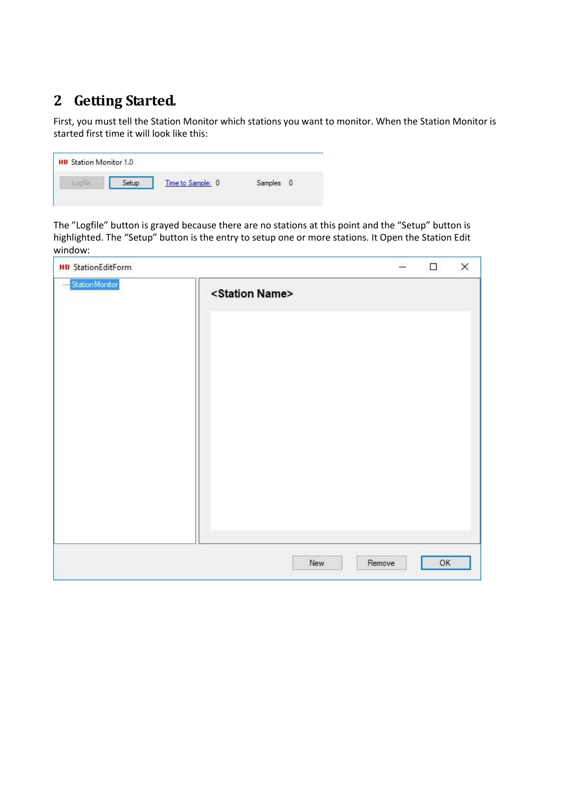# **2 Getting Started.**

First, you must tell the Station Monitor which stations you want to monitor. When the Station Monitor is started first time it will look like this:

| <b>HB</b> Station Monitor 1.0 |       |                   |              |
|-------------------------------|-------|-------------------|--------------|
| Logfile                       | Setup | Time to Sample: 0 | Samples<br>0 |

The "Logfile" button is grayed because there are no stations at this point and the "Setup" button is highlighted. The "Setup" button is the entry to setup one or more stations. It Open the Station Edit window:

| <b>HB</b> StationEditForm |                             |     | œ      | $\Box$ | $\times$ |
|---------------------------|-----------------------------|-----|--------|--------|----------|
| StationMonitor            | <station name=""></station> |     |        |        |          |
|                           |                             |     |        |        |          |
|                           |                             |     |        |        |          |
|                           |                             |     |        |        |          |
|                           |                             |     |        |        |          |
|                           |                             |     |        |        |          |
|                           |                             |     |        |        |          |
|                           |                             |     |        |        |          |
|                           |                             | New | Remove | OK     |          |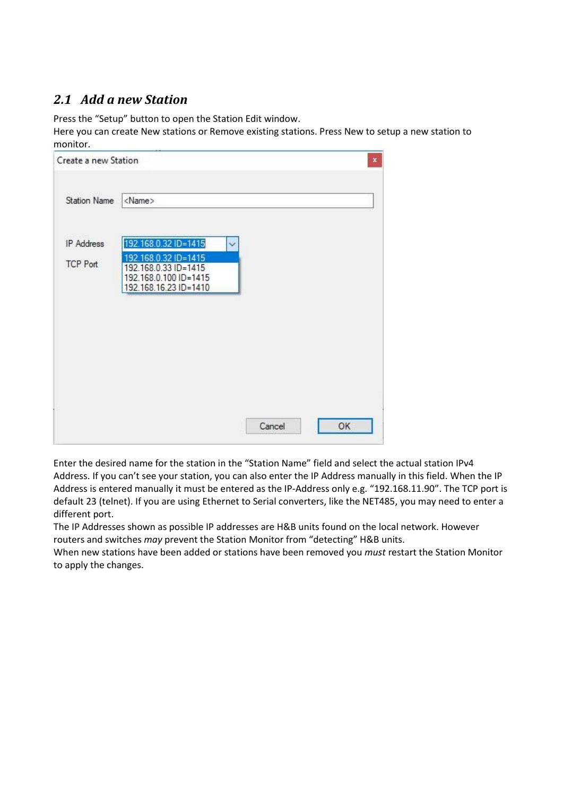#### *2.1 Add a new Station*

Press the "Setup" button to open the Station Edit window.

Here you can create New stations or Remove existing stations. Press New to setup a new station to monitor.

| Create a new Station | $\pmb{\times}$                                                                                 |
|----------------------|------------------------------------------------------------------------------------------------|
| Station Name         | <name></name>                                                                                  |
| <b>IP Address</b>    | 192.168.0.32 ID=1415                                                                           |
| <b>TCP Port</b>      | 192.168.0.32 ID=1415<br>192.168.0.33 ID=1415<br>192.168.0.100 ID=1415<br>192.168.16.23 ID=1410 |
|                      |                                                                                                |
|                      | Cancel<br>OK                                                                                   |

Enter the desired name for the station in the "Station Name" field and select the actual station IPv4 Address. If you can't see your station, you can also enter the IP Address manually in this field. When the IP Address is entered manually it must be entered as the IP-Address only e.g. "192.168.11.90". The TCP port is default 23 (telnet). If you are using Ethernet to Serial converters, like the NET485, you may need to enter a different port.

The IP Addresses shown as possible IP addresses are H&B units found on the local network. However routers and switches *may* prevent the Station Monitor from "detecting" H&B units.

When new stations have been added or stations have been removed you *must* restart the Station Monitor to apply the changes.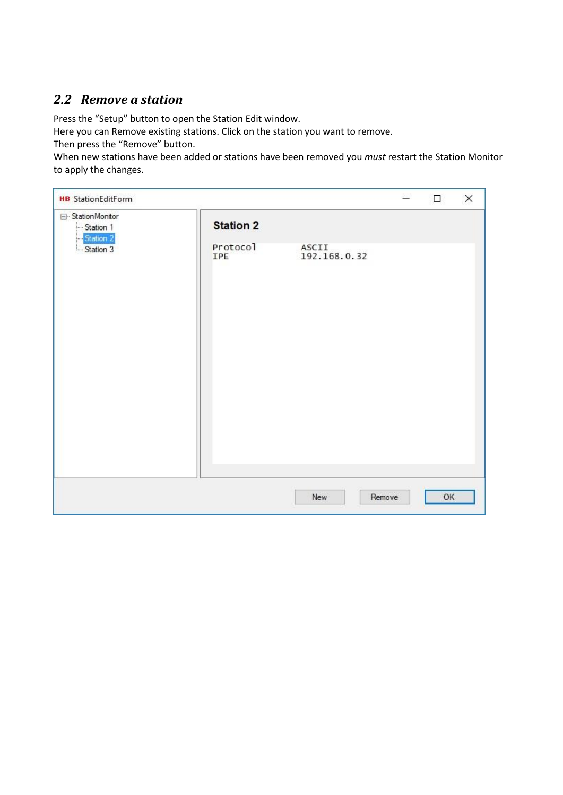#### *2.2 Remove a station*

Press the "Setup" button to open the Station Edit window.

Here you can Remove existing stations. Click on the station you want to remove.

Then press the "Remove" button.

When new stations have been added or stations have been removed you *must* restart the Station Monitor to apply the changes.

| <b>HB</b> StationEditForm                               |                                     |                       |        | $\Box$ | X |
|---------------------------------------------------------|-------------------------------------|-----------------------|--------|--------|---|
| □ StationMonitor<br>Station 1<br>Station 2<br>Station 3 | <b>Station 2</b><br>Protocol<br>IPE | ASCII<br>192.168.0.32 |        |        |   |
|                                                         |                                     |                       |        |        |   |
|                                                         |                                     |                       |        |        |   |
|                                                         |                                     |                       |        |        |   |
|                                                         |                                     |                       |        |        |   |
|                                                         |                                     |                       |        |        |   |
|                                                         |                                     |                       |        |        |   |
|                                                         |                                     | New                   | Remove | OK     |   |